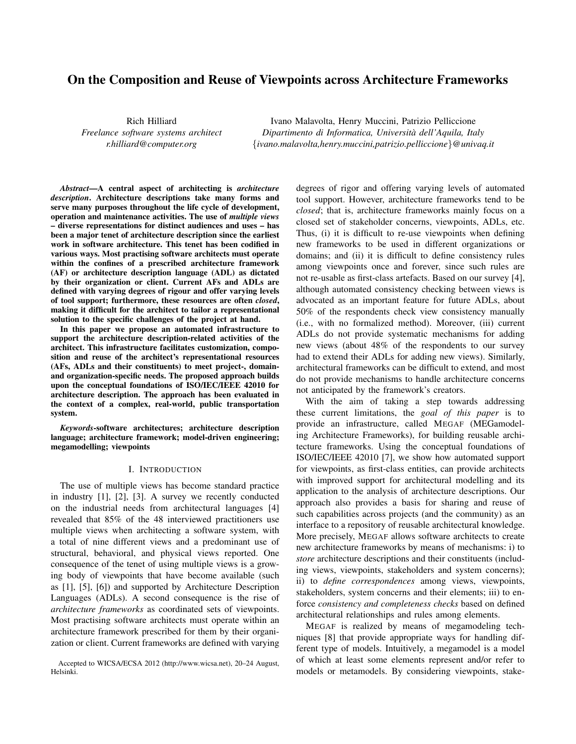# On the Composition and Reuse of Viewpoints across Architecture Frameworks

Rich Hilliard *Freelance software systems architect r.hilliard@computer.org*

Ivano Malavolta, Henry Muccini, Patrizio Pelliccione *Dipartimento di Informatica, Universita dell'Aquila, Italy `* {*ivano.malavolta,henry.muccini,patrizio.pelliccione*}*@univaq.it*

*Abstract*—A central aspect of architecting is *architecture description*. Architecture descriptions take many forms and serve many purposes throughout the life cycle of development, operation and maintenance activities. The use of *multiple views* – diverse representations for distinct audiences and uses – has been a major tenet of architecture description since the earliest work in software architecture. This tenet has been codified in various ways. Most practising software architects must operate within the confines of a prescribed architecture framework (AF) or architecture description language (ADL) as dictated by their organization or client. Current AFs and ADLs are defined with varying degrees of rigour and offer varying levels of tool support; furthermore, these resources are often *closed*, making it difficult for the architect to tailor a representational solution to the specific challenges of the project at hand.

In this paper we propose an automated infrastructure to support the architecture description-related activities of the architect. This infrastructure facilitates customization, composition and reuse of the architect's representational resources (AFs, ADLs and their constituents) to meet project-, domainand organization-specific needs. The proposed approach builds upon the conceptual foundations of ISO/IEC/IEEE 42010 for architecture description. The approach has been evaluated in the context of a complex, real-world, public transportation system.

*Keywords*-software architectures; architecture description language; architecture framework; model-driven engineering; megamodelling; viewpoints

## I. INTRODUCTION

The use of multiple views has become standard practice in industry [1], [2], [3]. A survey we recently conducted on the industrial needs from architectural languages [4] revealed that 85% of the 48 interviewed practitioners use multiple views when architecting a software system, with a total of nine different views and a predominant use of structural, behavioral, and physical views reported. One consequence of the tenet of using multiple views is a growing body of viewpoints that have become available (such as [1], [5], [6]) and supported by Architecture Description Languages (ADLs). A second consequence is the rise of *architecture frameworks* as coordinated sets of viewpoints. Most practising software architects must operate within an architecture framework prescribed for them by their organization or client. Current frameworks are defined with varying degrees of rigor and offering varying levels of automated tool support. However, architecture frameworks tend to be *closed*; that is, architecture frameworks mainly focus on a closed set of stakeholder concerns, viewpoints, ADLs, etc. Thus, (i) it is difficult to re-use viewpoints when defining new frameworks to be used in different organizations or domains; and (ii) it is difficult to define consistency rules among viewpoints once and forever, since such rules are not re-usable as first-class artefacts. Based on our survey [4], although automated consistency checking between views is advocated as an important feature for future ADLs, about 50% of the respondents check view consistency manually (i.e., with no formalized method). Moreover, (iii) current ADLs do not provide systematic mechanisms for adding new views (about 48% of the respondents to our survey had to extend their ADLs for adding new views). Similarly, architectural frameworks can be difficult to extend, and most do not provide mechanisms to handle architecture concerns not anticipated by the framework's creators.

With the aim of taking a step towards addressing these current limitations, the *goal of this paper* is to provide an infrastructure, called MEGAF (MEGamodeling Architecture Frameworks), for building reusable architecture frameworks. Using the conceptual foundations of ISO/IEC/IEEE 42010 [7], we show how automated support for viewpoints, as first-class entities, can provide architects with improved support for architectural modelling and its application to the analysis of architecture descriptions. Our approach also provides a basis for sharing and reuse of such capabilities across projects (and the community) as an interface to a repository of reusable architectural knowledge. More precisely, MEGAF allows software architects to create new architecture frameworks by means of mechanisms: i) to *store* architecture descriptions and their constituents (including views, viewpoints, stakeholders and system concerns); ii) to *define correspondences* among views, viewpoints, stakeholders, system concerns and their elements; iii) to enforce *consistency and completeness checks* based on defined architectural relationships and rules among elements.

MEGAF is realized by means of megamodeling techniques [8] that provide appropriate ways for handling different type of models. Intuitively, a megamodel is a model of which at least some elements represent and/or refer to models or metamodels. By considering viewpoints, stake-

Accepted to WICSA/ECSA 2012 (http://www.wicsa.net), 20–24 August, Helsinki.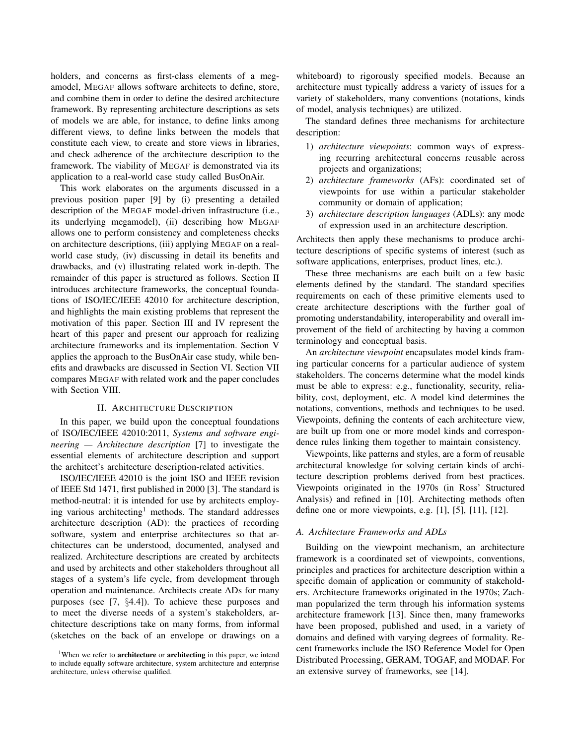holders, and concerns as first-class elements of a megamodel, MEGAF allows software architects to define, store, and combine them in order to define the desired architecture framework. By representing architecture descriptions as sets of models we are able, for instance, to define links among different views, to define links between the models that constitute each view, to create and store views in libraries, and check adherence of the architecture description to the framework. The viability of MEGAF is demonstrated via its application to a real-world case study called BusOnAir.

This work elaborates on the arguments discussed in a previous position paper [9] by (i) presenting a detailed description of the MEGAF model-driven infrastructure (i.e., its underlying megamodel), (ii) describing how MEGAF allows one to perform consistency and completeness checks on architecture descriptions, (iii) applying MEGAF on a realworld case study, (iv) discussing in detail its benefits and drawbacks, and (v) illustrating related work in-depth. The remainder of this paper is structured as follows. Section II introduces architecture frameworks, the conceptual foundations of ISO/IEC/IEEE 42010 for architecture description, and highlights the main existing problems that represent the motivation of this paper. Section III and IV represent the heart of this paper and present our approach for realizing architecture frameworks and its implementation. Section V applies the approach to the BusOnAir case study, while benefits and drawbacks are discussed in Section VI. Section VII compares MEGAF with related work and the paper concludes with Section VIII.

# II. ARCHITECTURE DESCRIPTION

In this paper, we build upon the conceptual foundations of ISO/IEC/IEEE 42010:2011, *Systems and software engineering — Architecture description* [7] to investigate the essential elements of architecture description and support the architect's architecture description-related activities.

ISO/IEC/IEEE 42010 is the joint ISO and IEEE revision of IEEE Std 1471, first published in 2000 [3]. The standard is method-neutral: it is intended for use by architects employing various architecting<sup>1</sup> methods. The standard addresses architecture description (AD): the practices of recording software, system and enterprise architectures so that architectures can be understood, documented, analysed and realized. Architecture descriptions are created by architects and used by architects and other stakeholders throughout all stages of a system's life cycle, from development through operation and maintenance. Architects create ADs for many purposes (see [7, §4.4]). To achieve these purposes and to meet the diverse needs of a system's stakeholders, architecture descriptions take on many forms, from informal (sketches on the back of an envelope or drawings on a whiteboard) to rigorously specified models. Because an architecture must typically address a variety of issues for a variety of stakeholders, many conventions (notations, kinds of model, analysis techniques) are utilized.

The standard defines three mechanisms for architecture description:

- 1) *architecture viewpoints*: common ways of expressing recurring architectural concerns reusable across projects and organizations;
- 2) *architecture frameworks* (AFs): coordinated set of viewpoints for use within a particular stakeholder community or domain of application;
- 3) *architecture description languages* (ADLs): any mode of expression used in an architecture description.

Architects then apply these mechanisms to produce architecture descriptions of specific systems of interest (such as software applications, enterprises, product lines, etc.).

These three mechanisms are each built on a few basic elements defined by the standard. The standard specifies requirements on each of these primitive elements used to create architecture descriptions with the further goal of promoting understandability, interoperability and overall improvement of the field of architecting by having a common terminology and conceptual basis.

An *architecture viewpoint* encapsulates model kinds framing particular concerns for a particular audience of system stakeholders. The concerns determine what the model kinds must be able to express: e.g., functionality, security, reliability, cost, deployment, etc. A model kind determines the notations, conventions, methods and techniques to be used. Viewpoints, defining the contents of each architecture view, are built up from one or more model kinds and correspondence rules linking them together to maintain consistency.

Viewpoints, like patterns and styles, are a form of reusable architectural knowledge for solving certain kinds of architecture description problems derived from best practices. Viewpoints originated in the 1970s (in Ross' Structured Analysis) and refined in [10]. Architecting methods often define one or more viewpoints, e.g.  $[1]$ ,  $[5]$ ,  $[11]$ ,  $[12]$ .

# *A. Architecture Frameworks and ADLs*

Building on the viewpoint mechanism, an architecture framework is a coordinated set of viewpoints, conventions, principles and practices for architecture description within a specific domain of application or community of stakeholders. Architecture frameworks originated in the 1970s; Zachman popularized the term through his information systems architecture framework [13]. Since then, many frameworks have been proposed, published and used, in a variety of domains and defined with varying degrees of formality. Recent frameworks include the ISO Reference Model for Open Distributed Processing, GERAM, TOGAF, and MODAF. For an extensive survey of frameworks, see [14].

<sup>&</sup>lt;sup>1</sup>When we refer to **architecture** or **architecting** in this paper, we intend to include equally software architecture, system architecture and enterprise architecture, unless otherwise qualified.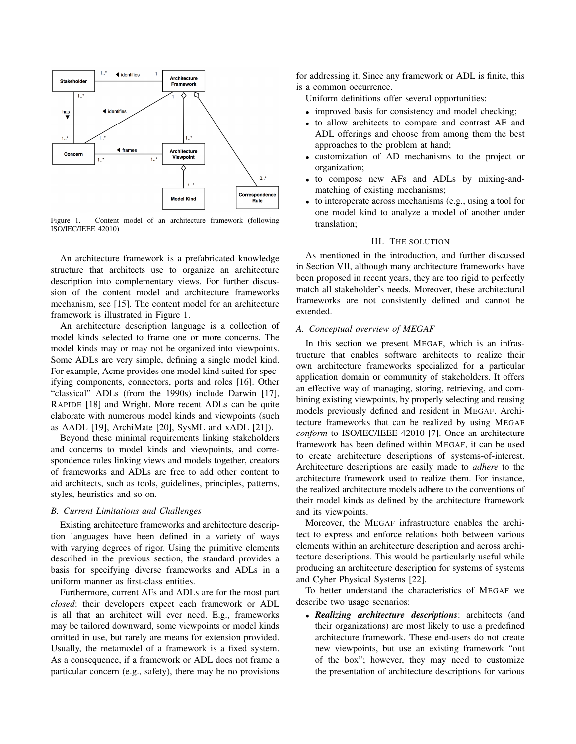

Figure 1. Content model of an architecture framework (following ISO/IEC/IEEE 42010)

An architecture framework is a prefabricated knowledge structure that architects use to organize an architecture description into complementary views. For further discussion of the content model and architecture frameworks mechanism, see [15]. The content model for an architecture framework is illustrated in Figure 1.

An architecture description language is a collection of model kinds selected to frame one or more concerns. The model kinds may or may not be organized into viewpoints. Some ADLs are very simple, defining a single model kind. For example, Acme provides one model kind suited for specifying components, connectors, ports and roles [16]. Other "classical" ADLs (from the 1990s) include Darwin [17], RAPIDE [18] and Wright. More recent ADLs can be quite elaborate with numerous model kinds and viewpoints (such as AADL [19], ArchiMate [20], SysML and xADL [21]).

Beyond these minimal requirements linking stakeholders and concerns to model kinds and viewpoints, and correspondence rules linking views and models together, creators of frameworks and ADLs are free to add other content to aid architects, such as tools, guidelines, principles, patterns, styles, heuristics and so on.

# *B. Current Limitations and Challenges*

Existing architecture frameworks and architecture description languages have been defined in a variety of ways with varying degrees of rigor. Using the primitive elements described in the previous section, the standard provides a basis for specifying diverse frameworks and ADLs in a uniform manner as first-class entities.

Furthermore, current AFs and ADLs are for the most part *closed*: their developers expect each framework or ADL is all that an architect will ever need. E.g., frameworks may be tailored downward, some viewpoints or model kinds omitted in use, but rarely are means for extension provided. Usually, the metamodel of a framework is a fixed system. As a consequence, if a framework or ADL does not frame a particular concern (e.g., safety), there may be no provisions for addressing it. Since any framework or ADL is finite, this is a common occurrence.

Uniform definitions offer several opportunities:

- improved basis for consistency and model checking;
- to allow architects to compare and contrast AF and ADL offerings and choose from among them the best approaches to the problem at hand;
- customization of AD mechanisms to the project or organization;
- to compose new AFs and ADLs by mixing-andmatching of existing mechanisms;
- to interoperate across mechanisms (e.g., using a tool for one model kind to analyze a model of another under translation;

# III. THE SOLUTION

As mentioned in the introduction, and further discussed in Section VII, although many architecture frameworks have been proposed in recent years, they are too rigid to perfectly match all stakeholder's needs. Moreover, these architectural frameworks are not consistently defined and cannot be extended.

## *A. Conceptual overview of MEGAF*

In this section we present MEGAF, which is an infrastructure that enables software architects to realize their own architecture frameworks specialized for a particular application domain or community of stakeholders. It offers an effective way of managing, storing, retrieving, and combining existing viewpoints, by properly selecting and reusing models previously defined and resident in MEGAF. Architecture frameworks that can be realized by using MEGAF *conform* to ISO/IEC/IEEE 42010 [7]. Once an architecture framework has been defined within MEGAF, it can be used to create architecture descriptions of systems-of-interest. Architecture descriptions are easily made to *adhere* to the architecture framework used to realize them. For instance, the realized architecture models adhere to the conventions of their model kinds as defined by the architecture framework and its viewpoints.

Moreover, the MEGAF infrastructure enables the architect to express and enforce relations both between various elements within an architecture description and across architecture descriptions. This would be particularly useful while producing an architecture description for systems of systems and Cyber Physical Systems [22].

To better understand the characteristics of MEGAF we describe two usage scenarios:

• *Realizing architecture descriptions*: architects (and their organizations) are most likely to use a predefined architecture framework. These end-users do not create new viewpoints, but use an existing framework "out of the box"; however, they may need to customize the presentation of architecture descriptions for various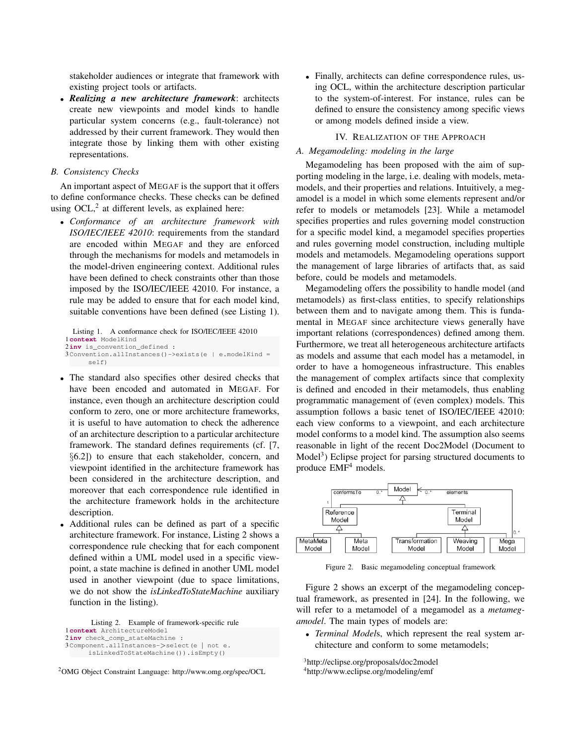stakeholder audiences or integrate that framework with existing project tools or artifacts.

• *Realizing a new architecture framework*: architects create new viewpoints and model kinds to handle particular system concerns (e.g., fault-tolerance) not addressed by their current framework. They would then integrate those by linking them with other existing representations.

# *B. Consistency Checks*

An important aspect of MEGAF is the support that it offers to define conformance checks. These checks can be defined using OCL, $<sup>2</sup>$  at different levels, as explained here:</sup>

• *Conformance of an architecture framework with ISO/IEC/IEEE 42010*: requirements from the standard are encoded within MEGAF and they are enforced through the mechanisms for models and metamodels in the model-driven engineering context. Additional rules have been defined to check constraints other than those imposed by the ISO/IEC/IEEE 42010. For instance, a rule may be added to ensure that for each model kind, suitable conventions have been defined (see Listing 1).

```
Listing 1. A conformance check for ISO/IEC/IEEE 42010
1context ModelKind
2inv is_convention_defined :
3Convention.allInstances()->exists(e | e.modelKind =
      self)
```
- The standard also specifies other desired checks that have been encoded and automated in MEGAF. For instance, even though an architecture description could conform to zero, one or more architecture frameworks, it is useful to have automation to check the adherence of an architecture description to a particular architecture framework. The standard defines requirements (cf. [7, §6.2]) to ensure that each stakeholder, concern, and viewpoint identified in the architecture framework has been considered in the architecture description, and moreover that each correspondence rule identified in the architecture framework holds in the architecture description.
- Additional rules can be defined as part of a specific architecture framework. For instance, Listing 2 shows a correspondence rule checking that for each component defined within a UML model used in a specific viewpoint, a state machine is defined in another UML model used in another viewpoint (due to space limitations, we do not show the *isLinkedToStateMachine* auxiliary function in the listing).

Listing 2. Example of framework-specific rule 1**context** ArchitectureModel 2**inv** check\_comp\_stateMachine : 3Component.allInstances->select(e | not e. isLinkedToStateMachine()).isEmpty()

<sup>2</sup>OMG Object Constraint Language: http://www.omg.org/spec/OCL

• Finally, architects can define correspondence rules, using OCL, within the architecture description particular to the system-of-interest. For instance, rules can be defined to ensure the consistency among specific views or among models defined inside a view.

#### IV. REALIZATION OF THE APPROACH

## *A. Megamodeling: modeling in the large*

Megamodeling has been proposed with the aim of supporting modeling in the large, i.e. dealing with models, metamodels, and their properties and relations. Intuitively, a megamodel is a model in which some elements represent and/or refer to models or metamodels [23]. While a metamodel specifies properties and rules governing model construction for a specific model kind, a megamodel specifies properties and rules governing model construction, including multiple models and metamodels. Megamodeling operations support the management of large libraries of artifacts that, as said before, could be models and metamodels.

Megamodeling offers the possibility to handle model (and metamodels) as first-class entities, to specify relationships between them and to navigate among them. This is fundamental in MEGAF since architecture views generally have important relations (correspondences) defined among them. Furthermore, we treat all heterogeneous architecture artifacts as models and assume that each model has a metamodel, in order to have a homogeneous infrastructure. This enables the management of complex artifacts since that complexity is defined and encoded in their metamodels, thus enabling programmatic management of (even complex) models. This assumption follows a basic tenet of ISO/IEC/IEEE 42010: each view conforms to a viewpoint, and each architecture model conforms to a model kind. The assumption also seems reasonable in light of the recent Doc2Model (Document to Model<sup>3</sup>) Eclipse project for parsing structured documents to produce EMF<sup>4</sup> models.



Figure 2. Basic megamodeling conceptual framework

Figure 2 shows an excerpt of the megamodeling conceptual framework, as presented in [24]. In the following, we will refer to a metamodel of a megamodel as a *metamegamodel*. The main types of models are:

• *Terminal Model*s, which represent the real system architecture and conform to some metamodels;

<sup>3</sup>http://eclipse.org/proposals/doc2model 4http://www.eclipse.org/modeling/emf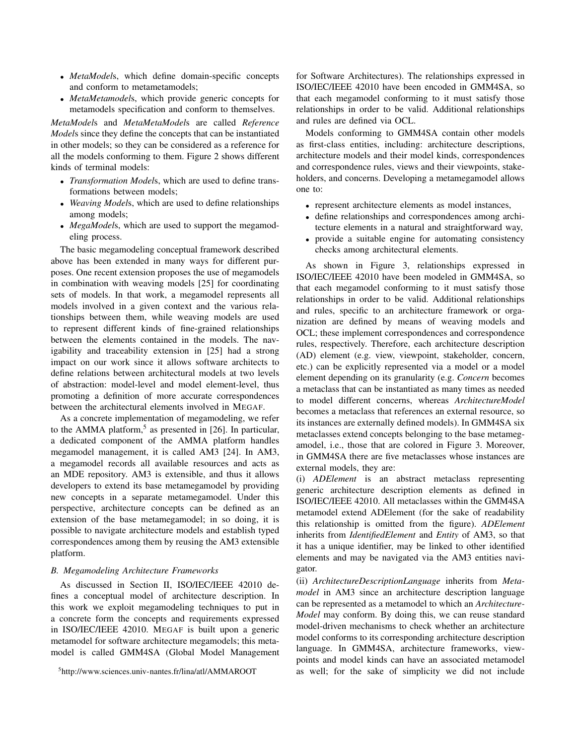- *MetaModel*s, which define domain-specific concepts and conform to metametamodels;
- *MetaMetamodel*s, which provide generic concepts for metamodels specification and conform to themselves.

*MetaModel*s and *MetaMetaModel*s are called *Reference Model*s since they define the concepts that can be instantiated in other models; so they can be considered as a reference for all the models conforming to them. Figure 2 shows different kinds of terminal models:

- *Transformation Model*s, which are used to define transformations between models;
- *Weaving Model*s, which are used to define relationships among models;
- *MegaModels*, which are used to support the megamodeling process.

The basic megamodeling conceptual framework described above has been extended in many ways for different purposes. One recent extension proposes the use of megamodels in combination with weaving models [25] for coordinating sets of models. In that work, a megamodel represents all models involved in a given context and the various relationships between them, while weaving models are used to represent different kinds of fine-grained relationships between the elements contained in the models. The navigability and traceability extension in [25] had a strong impact on our work since it allows software architects to define relations between architectural models at two levels of abstraction: model-level and model element-level, thus promoting a definition of more accurate correspondences between the architectural elements involved in MEGAF.

As a concrete implementation of megamodeling, we refer to the AMMA platform,<sup>5</sup> as presented in [26]. In particular, a dedicated component of the AMMA platform handles megamodel management, it is called AM3 [24]. In AM3, a megamodel records all available resources and acts as an MDE repository. AM3 is extensible, and thus it allows developers to extend its base metamegamodel by providing new concepts in a separate metamegamodel. Under this perspective, architecture concepts can be defined as an extension of the base metamegamodel; in so doing, it is possible to navigate architecture models and establish typed correspondences among them by reusing the AM3 extensible platform.

# *B. Megamodeling Architecture Frameworks*

As discussed in Section II, ISO/IEC/IEEE 42010 defines a conceptual model of architecture description. In this work we exploit megamodeling techniques to put in a concrete form the concepts and requirements expressed in ISO/IEC/IEEE 42010. MEGAF is built upon a generic metamodel for software architecture megamodels; this metamodel is called GMM4SA (Global Model Management for Software Architectures). The relationships expressed in ISO/IEC/IEEE 42010 have been encoded in GMM4SA, so that each megamodel conforming to it must satisfy those relationships in order to be valid. Additional relationships and rules are defined via OCL.

Models conforming to GMM4SA contain other models as first-class entities, including: architecture descriptions, architecture models and their model kinds, correspondences and correspondence rules, views and their viewpoints, stakeholders, and concerns. Developing a metamegamodel allows one to:

- represent architecture elements as model instances,
- define relationships and correspondences among architecture elements in a natural and straightforward way,
- provide a suitable engine for automating consistency checks among architectural elements.

As shown in Figure 3, relationships expressed in ISO/IEC/IEEE 42010 have been modeled in GMM4SA, so that each megamodel conforming to it must satisfy those relationships in order to be valid. Additional relationships and rules, specific to an architecture framework or organization are defined by means of weaving models and OCL; these implement correspondences and correspondence rules, respectively. Therefore, each architecture description (AD) element (e.g. view, viewpoint, stakeholder, concern, etc.) can be explicitly represented via a model or a model element depending on its granularity (e.g. *Concern* becomes a metaclass that can be instantiated as many times as needed to model different concerns, whereas *ArchitectureModel* becomes a metaclass that references an external resource, so its instances are externally defined models). In GMM4SA six metaclasses extend concepts belonging to the base metamegamodel, i.e., those that are colored in Figure 3. Moreover, in GMM4SA there are five metaclasses whose instances are external models, they are:

(i) *ADElement* is an abstract metaclass representing generic architecture description elements as defined in ISO/IEC/IEEE 42010. All metaclasses within the GMM4SA metamodel extend ADElement (for the sake of readability this relationship is omitted from the figure). *ADElement* inherits from *IdentifiedElement* and *Entity* of AM3, so that it has a unique identifier, may be linked to other identified elements and may be navigated via the AM3 entities navigator.

(ii) *ArchitectureDescriptionLanguage* inherits from *Metamodel* in AM3 since an architecture description language can be represented as a metamodel to which an *Architecture-Model* may conform. By doing this, we can reuse standard model-driven mechanisms to check whether an architecture model conforms to its corresponding architecture description language. In GMM4SA, architecture frameworks, viewpoints and model kinds can have an associated metamodel as well; for the sake of simplicity we did not include

<sup>5</sup>http://www.sciences.univ-nantes.fr/lina/atl/AMMAROOT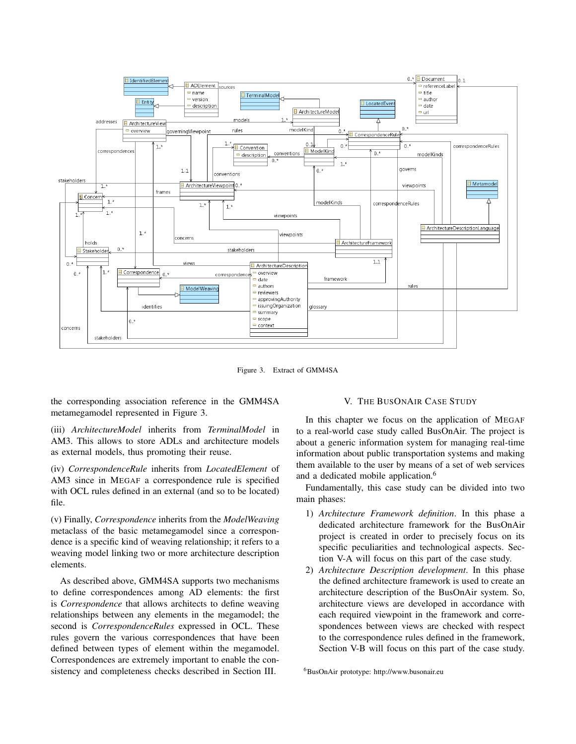

Figure 3. Extract of GMM4SA

the corresponding association reference in the GMM4SA metamegamodel represented in Figure 3.

(iii) *ArchitectureModel* inherits from *TerminalModel* in AM3. This allows to store ADLs and architecture models as external models, thus promoting their reuse.

(iv) *CorrespondenceRule* inherits from *LocatedElement* of AM3 since in MEGAF a correspondence rule is specified with OCL rules defined in an external (and so to be located) file.

(v) Finally, *Correspondence* inherits from the *ModelWeaving* metaclass of the basic metamegamodel since a correspondence is a specific kind of weaving relationship; it refers to a weaving model linking two or more architecture description elements.

As described above, GMM4SA supports two mechanisms to define correspondences among AD elements: the first is *Correspondence* that allows architects to define weaving relationships between any elements in the megamodel; the second is *CorrespondenceRules* expressed in OCL. These rules govern the various correspondences that have been defined between types of element within the megamodel. Correspondences are extremely important to enable the consistency and completeness checks described in Section III.

# V. THE BUSONAIR CASE STUDY

In this chapter we focus on the application of MEGAF to a real-world case study called BusOnAir. The project is about a generic information system for managing real-time information about public transportation systems and making them available to the user by means of a set of web services and a dedicated mobile application.<sup>6</sup>

Fundamentally, this case study can be divided into two main phases:

- 1) *Architecture Framework definition*. In this phase a dedicated architecture framework for the BusOnAir project is created in order to precisely focus on its specific peculiarities and technological aspects. Section V-A will focus on this part of the case study.
- 2) *Architecture Description development*. In this phase the defined architecture framework is used to create an architecture description of the BusOnAir system. So, architecture views are developed in accordance with each required viewpoint in the framework and correspondences between views are checked with respect to the correspondence rules defined in the framework, Section V-B will focus on this part of the case study.

<sup>6</sup>BusOnAir prototype: http://www.busonair.eu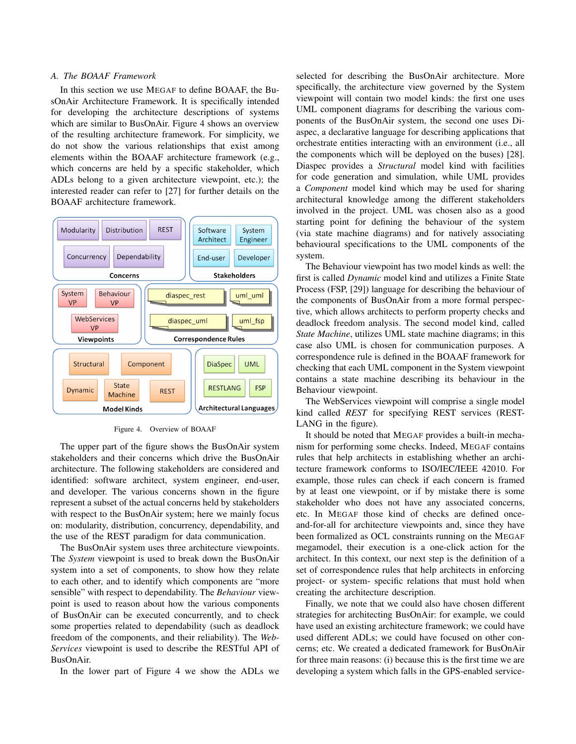# *A. The BOAAF Framework*

In this section we use MEGAF to define BOAAF, the BusOnAir Architecture Framework. It is specifically intended for developing the architecture descriptions of systems which are similar to BusOnAir. Figure 4 shows an overview of the resulting architecture framework. For simplicity, we do not show the various relationships that exist among elements within the BOAAF architecture framework (e.g., which concerns are held by a specific stakeholder, which ADLs belong to a given architecture viewpoint, etc.); the interested reader can refer to [27] for further details on the BOAAF architecture framework.



Figure 4. Overview of BOAAF

The upper part of the figure shows the BusOnAir system stakeholders and their concerns which drive the BusOnAir architecture. The following stakeholders are considered and identified: software architect, system engineer, end-user, and developer. The various concerns shown in the figure represent a subset of the actual concerns held by stakeholders with respect to the BusOnAir system; here we mainly focus on: modularity, distribution, concurrency, dependability, and the use of the REST paradigm for data communication.

The BusOnAir system uses three architecture viewpoints. The *System* viewpoint is used to break down the BusOnAir system into a set of components, to show how they relate to each other, and to identify which components are "more sensible" with respect to dependability. The *Behaviour* viewpoint is used to reason about how the various components of BusOnAir can be executed concurrently, and to check some properties related to dependability (such as deadlock freedom of the components, and their reliability). The *Web-Services* viewpoint is used to describe the RESTful API of BusOnAir.

In the lower part of Figure 4 we show the ADLs we

selected for describing the BusOnAir architecture. More specifically, the architecture view governed by the System viewpoint will contain two model kinds: the first one uses UML component diagrams for describing the various components of the BusOnAir system, the second one uses Diaspec, a declarative language for describing applications that orchestrate entities interacting with an environment (i.e., all the components which will be deployed on the buses) [28]. Diaspec provides a *Structural* model kind with facilities for code generation and simulation, while UML provides a *Component* model kind which may be used for sharing architectural knowledge among the different stakeholders involved in the project. UML was chosen also as a good starting point for defining the behaviour of the system (via state machine diagrams) and for natively associating behavioural specifications to the UML components of the system.

The Behaviour viewpoint has two model kinds as well: the first is called *Dynamic* model kind and utilizes a Finite State Process (FSP, [29]) language for describing the behaviour of the components of BusOnAir from a more formal perspective, which allows architects to perform property checks and deadlock freedom analysis. The second model kind, called *State Machine*, utilizes UML state machine diagrams; in this case also UML is chosen for communication purposes. A correspondence rule is defined in the BOAAF framework for checking that each UML component in the System viewpoint contains a state machine describing its behaviour in the Behaviour viewpoint.

The WebServices viewpoint will comprise a single model kind called *REST* for specifying REST services (REST-LANG in the figure).

It should be noted that MEGAF provides a built-in mechanism for performing some checks. Indeed, MEGAF contains rules that help architects in establishing whether an architecture framework conforms to ISO/IEC/IEEE 42010. For example, those rules can check if each concern is framed by at least one viewpoint, or if by mistake there is some stakeholder who does not have any associated concerns, etc. In MEGAF those kind of checks are defined onceand-for-all for architecture viewpoints and, since they have been formalized as OCL constraints running on the MEGAF megamodel, their execution is a one-click action for the architect. In this context, our next step is the definition of a set of correspondence rules that help architects in enforcing project- or system- specific relations that must hold when creating the architecture description.

Finally, we note that we could also have chosen different strategies for architecting BusOnAir: for example, we could have used an existing architecture framework; we could have used different ADLs; we could have focused on other concerns; etc. We created a dedicated framework for BusOnAir for three main reasons: (i) because this is the first time we are developing a system which falls in the GPS-enabled service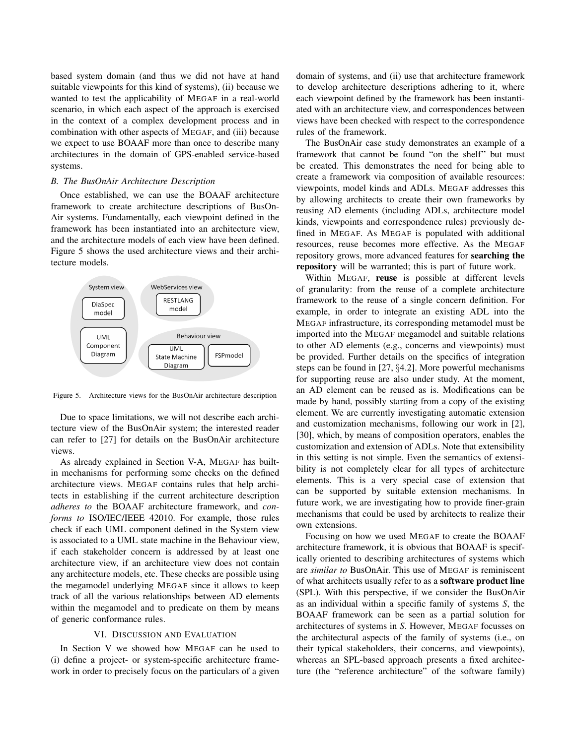based system domain (and thus we did not have at hand suitable viewpoints for this kind of systems), (ii) because we wanted to test the applicability of MEGAF in a real-world scenario, in which each aspect of the approach is exercised in the context of a complex development process and in combination with other aspects of MEGAF, and (iii) because we expect to use BOAAF more than once to describe many architectures in the domain of GPS-enabled service-based systems.

# *B. The BusOnAir Architecture Description*

Once established, we can use the BOAAF architecture framework to create architecture descriptions of BusOn-Air systems. Fundamentally, each viewpoint defined in the framework has been instantiated into an architecture view, and the architecture models of each view have been defined. Figure 5 shows the used architecture views and their architecture models.



Figure 5. Architecture views for the BusOnAir architecture description

Due to space limitations, we will not describe each architecture view of the BusOnAir system; the interested reader can refer to [27] for details on the BusOnAir architecture views.

As already explained in Section V-A, MEGAF has builtin mechanisms for performing some checks on the defined architecture views. MEGAF contains rules that help architects in establishing if the current architecture description *adheres to* the BOAAF architecture framework, and *conforms to* ISO/IEC/IEEE 42010. For example, those rules check if each UML component defined in the System view is associated to a UML state machine in the Behaviour view, if each stakeholder concern is addressed by at least one architecture view, if an architecture view does not contain any architecture models, etc. These checks are possible using the megamodel underlying MEGAF since it allows to keep track of all the various relationships between AD elements within the megamodel and to predicate on them by means of generic conformance rules.

# VI. DISCUSSION AND EVALUATION

In Section V we showed how MEGAF can be used to (i) define a project- or system-specific architecture framework in order to precisely focus on the particulars of a given domain of systems, and (ii) use that architecture framework to develop architecture descriptions adhering to it, where each viewpoint defined by the framework has been instantiated with an architecture view, and correspondences between views have been checked with respect to the correspondence rules of the framework.

The BusOnAir case study demonstrates an example of a framework that cannot be found "on the shelf" but must be created. This demonstrates the need for being able to create a framework via composition of available resources: viewpoints, model kinds and ADLs. MEGAF addresses this by allowing architects to create their own frameworks by reusing AD elements (including ADLs, architecture model kinds, viewpoints and correspondence rules) previously defined in MEGAF. As MEGAF is populated with additional resources, reuse becomes more effective. As the MEGAF repository grows, more advanced features for searching the repository will be warranted; this is part of future work.

Within MEGAF, reuse is possible at different levels of granularity: from the reuse of a complete architecture framework to the reuse of a single concern definition. For example, in order to integrate an existing ADL into the MEGAF infrastructure, its corresponding metamodel must be imported into the MEGAF megamodel and suitable relations to other AD elements (e.g., concerns and viewpoints) must be provided. Further details on the specifics of integration steps can be found in [27, §4.2]. More powerful mechanisms for supporting reuse are also under study. At the moment, an AD element can be reused as is. Modifications can be made by hand, possibly starting from a copy of the existing element. We are currently investigating automatic extension and customization mechanisms, following our work in [2], [30], which, by means of composition operators, enables the customization and extension of ADLs. Note that extensibility in this setting is not simple. Even the semantics of extensibility is not completely clear for all types of architecture elements. This is a very special case of extension that can be supported by suitable extension mechanisms. In future work, we are investigating how to provide finer-grain mechanisms that could be used by architects to realize their own extensions.

Focusing on how we used MEGAF to create the BOAAF architecture framework, it is obvious that BOAAF is specifically oriented to describing architectures of systems which are *similar to* BusOnAir. This use of MEGAF is reminiscent of what architects usually refer to as a software product line (SPL). With this perspective, if we consider the BusOnAir as an individual within a specific family of systems *S*, the BOAAF framework can be seen as a partial solution for architectures of systems in *S*. However, MEGAF focusses on the architectural aspects of the family of systems (i.e., on their typical stakeholders, their concerns, and viewpoints), whereas an SPL-based approach presents a fixed architecture (the "reference architecture" of the software family)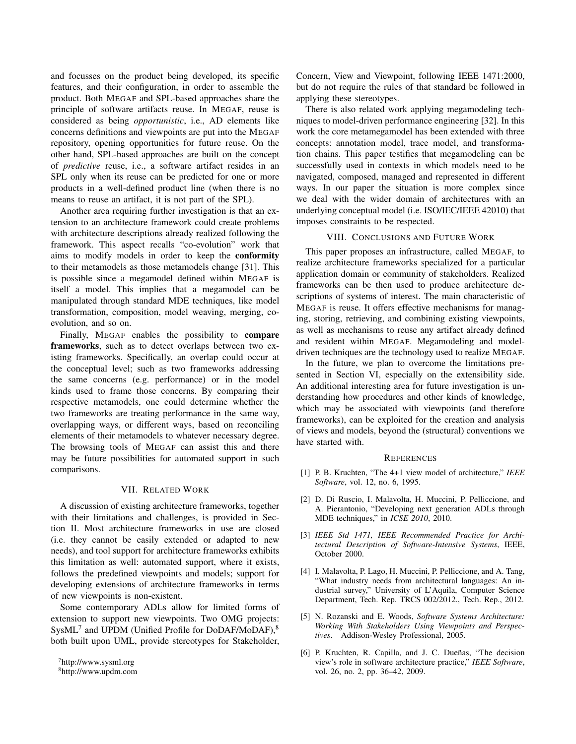and focusses on the product being developed, its specific features, and their configuration, in order to assemble the product. Both MEGAF and SPL-based approaches share the principle of software artifacts reuse. In MEGAF, reuse is considered as being *opportunistic*, i.e., AD elements like concerns definitions and viewpoints are put into the MEGAF repository, opening opportunities for future reuse. On the other hand, SPL-based approaches are built on the concept of *predictive* reuse, i.e., a software artifact resides in an SPL only when its reuse can be predicted for one or more products in a well-defined product line (when there is no means to reuse an artifact, it is not part of the SPL).

Another area requiring further investigation is that an extension to an architecture framework could create problems with architecture descriptions already realized following the framework. This aspect recalls "co-evolution" work that aims to modify models in order to keep the conformity to their metamodels as those metamodels change [31]. This is possible since a megamodel defined within MEGAF is itself a model. This implies that a megamodel can be manipulated through standard MDE techniques, like model transformation, composition, model weaving, merging, coevolution, and so on.

Finally, MEGAF enables the possibility to compare frameworks, such as to detect overlaps between two existing frameworks. Specifically, an overlap could occur at the conceptual level; such as two frameworks addressing the same concerns (e.g. performance) or in the model kinds used to frame those concerns. By comparing their respective metamodels, one could determine whether the two frameworks are treating performance in the same way, overlapping ways, or different ways, based on reconciling elements of their metamodels to whatever necessary degree. The browsing tools of MEGAF can assist this and there may be future possibilities for automated support in such comparisons.

#### VII. RELATED WORK

A discussion of existing architecture frameworks, together with their limitations and challenges, is provided in Section II. Most architecture frameworks in use are closed (i.e. they cannot be easily extended or adapted to new needs), and tool support for architecture frameworks exhibits this limitation as well: automated support, where it exists, follows the predefined viewpoints and models; support for developing extensions of architecture frameworks in terms of new viewpoints is non-existent.

Some contemporary ADLs allow for limited forms of extension to support new viewpoints. Two OMG projects:  $SysML<sup>7</sup>$  and UPDM (Unified Profile for DoDAF/MoDAF), $8$ both built upon UML, provide stereotypes for Stakeholder, Concern, View and Viewpoint, following IEEE 1471:2000, but do not require the rules of that standard be followed in applying these stereotypes.

There is also related work applying megamodeling techniques to model-driven performance engineering [32]. In this work the core metamegamodel has been extended with three concepts: annotation model, trace model, and transformation chains. This paper testifies that megamodeling can be successfully used in contexts in which models need to be navigated, composed, managed and represented in different ways. In our paper the situation is more complex since we deal with the wider domain of architectures with an underlying conceptual model (i.e. ISO/IEC/IEEE 42010) that imposes constraints to be respected.

# VIII. CONCLUSIONS AND FUTURE WORK

This paper proposes an infrastructure, called MEGAF, to realize architecture frameworks specialized for a particular application domain or community of stakeholders. Realized frameworks can be then used to produce architecture descriptions of systems of interest. The main characteristic of MEGAF is reuse. It offers effective mechanisms for managing, storing, retrieving, and combining existing viewpoints, as well as mechanisms to reuse any artifact already defined and resident within MEGAF. Megamodeling and modeldriven techniques are the technology used to realize MEGAF.

In the future, we plan to overcome the limitations presented in Section VI, especially on the extensibility side. An additional interesting area for future investigation is understanding how procedures and other kinds of knowledge, which may be associated with viewpoints (and therefore frameworks), can be exploited for the creation and analysis of views and models, beyond the (structural) conventions we have started with.

## **REFERENCES**

- [1] P. B. Kruchten, "The 4+1 view model of architecture," *IEEE Software*, vol. 12, no. 6, 1995.
- [2] D. Di Ruscio, I. Malavolta, H. Muccini, P. Pelliccione, and A. Pierantonio, "Developing next generation ADLs through MDE techniques," in *ICSE 2010*, 2010.
- [3] *IEEE Std 1471, IEEE Recommended Practice for Architectural Description of Software-Intensive Systems*, IEEE, October 2000.
- [4] I. Malavolta, P. Lago, H. Muccini, P. Pelliccione, and A. Tang, "What industry needs from architectural languages: An industrial survey," University of L'Aquila, Computer Science Department, Tech. Rep. TRCS 002/2012., Tech. Rep., 2012.
- [5] N. Rozanski and E. Woods, *Software Systems Architecture: Working With Stakeholders Using Viewpoints and Perspectives*. Addison-Wesley Professional, 2005.
- [6] P. Kruchten, R. Capilla, and J. C. Dueñas, "The decision view's role in software architecture practice," *IEEE Software*, vol. 26, no. 2, pp. 36–42, 2009.

<sup>7</sup>http://www.sysml.org

<sup>8</sup>http://www.updm.com